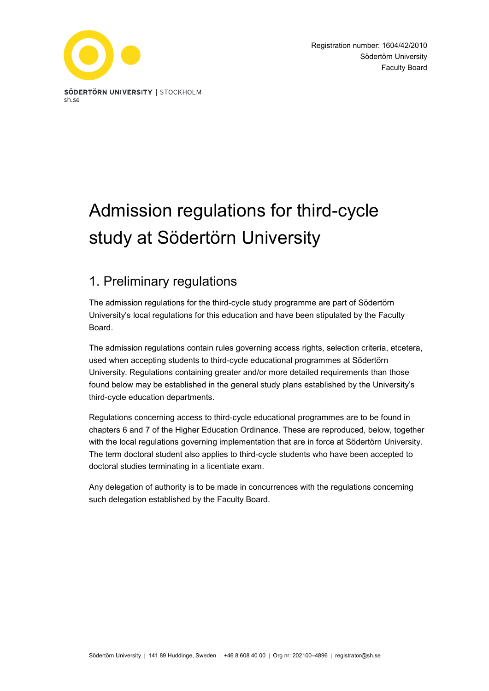

# Admission regulations for third-cycle study at Södertörn University

# 1. Preliminary regulations

The admission regulations for the third-cycle study programme are part of Södertörn University's local regulations for this education and have been stipulated by the Faculty Board.

The admission regulations contain rules governing access rights, selection criteria, etcetera, used when accepting students to third-cycle educational programmes at Södertörn University. Regulations containing greater and/or more detailed requirements than those found below may be established in the general study plans established by the University's third-cycle education departments.

Regulations concerning access to third-cycle educational programmes are to be found in chapters 6 and 7 of the Higher Education Ordinance. These are reproduced, below, together with the local regulations governing implementation that are in force at Södertörn University. The term doctoral student also applies to third-cycle students who have been accepted to doctoral studies terminating in a licentiate exam.

Any delegation of authority is to be made in concurrences with the regulations concerning such delegation established by the Faculty Board.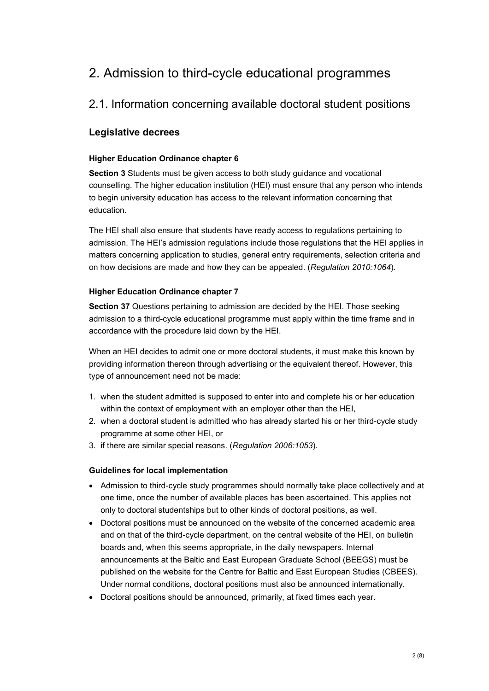# 2. Admission to third-cycle educational programmes

# 2.1. Information concerning available doctoral student positions

## **Legislative decrees**

#### **Higher Education Ordinance chapter 6**

**Section 3** Students must be given access to both study guidance and vocational counselling. The higher education institution (HEI) must ensure that any person who intends to begin university education has access to the relevant information concerning that education.

The HEI shall also ensure that students have ready access to regulations pertaining to admission. The HEI's admission regulations include those regulations that the HEI applies in matters concerning application to studies, general entry requirements, selection criteria and on how decisions are made and how they can be appealed. (*Regulation 2010:1064*).

#### **Higher Education Ordinance chapter 7**

**Section 37** Questions pertaining to admission are decided by the HEI. Those seeking admission to a third-cycle educational programme must apply within the time frame and in accordance with the procedure laid down by the HEI.

When an HEI decides to admit one or more doctoral students, it must make this known by providing information thereon through advertising or the equivalent thereof. However, this type of announcement need not be made:

- 1. when the student admitted is supposed to enter into and complete his or her education within the context of employment with an employer other than the HEI,
- 2. when a doctoral student is admitted who has already started his or her third-cycle study programme at some other HEI, or
- 3. if there are similar special reasons. (*Regulation 2006:1053*).

#### **Guidelines for local implementation**

- Admission to third-cycle study programmes should normally take place collectively and at one time, once the number of available places has been ascertained. This applies not only to doctoral studentships but to other kinds of doctoral positions, as well.
- Doctoral positions must be announced on the website of the concerned academic area and on that of the third-cycle department, on the central website of the HEI, on bulletin boards and, when this seems appropriate, in the daily newspapers. Internal announcements at the Baltic and East European Graduate School (BEEGS) must be published on the website for the Centre for Baltic and East European Studies (CBEES). Under normal conditions, doctoral positions must also be announced internationally.
- Doctoral positions should be announced, primarily, at fixed times each year.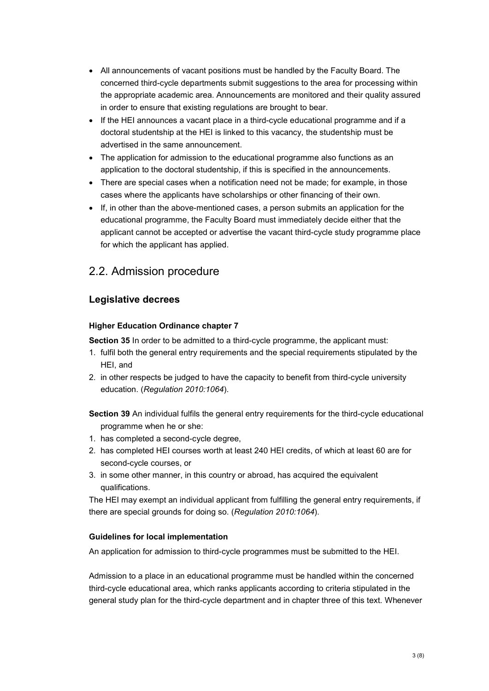- All announcements of vacant positions must be handled by the Faculty Board. The concerned third-cycle departments submit suggestions to the area for processing within the appropriate academic area. Announcements are monitored and their quality assured in order to ensure that existing regulations are brought to bear.
- If the HEI announces a vacant place in a third-cycle educational programme and if a doctoral studentship at the HEI is linked to this vacancy, the studentship must be advertised in the same announcement.
- The application for admission to the educational programme also functions as an application to the doctoral studentship, if this is specified in the announcements.
- There are special cases when a notification need not be made; for example, in those cases where the applicants have scholarships or other financing of their own.
- If, in other than the above-mentioned cases, a person submits an application for the educational programme, the Faculty Board must immediately decide either that the applicant cannot be accepted or advertise the vacant third-cycle study programme place for which the applicant has applied.

# 2.2. Admission procedure

### **Legislative decrees**

#### **Higher Education Ordinance chapter 7**

**Section 35** In order to be admitted to a third-cycle programme, the applicant must:

- 1. fulfil both the general entry requirements and the special requirements stipulated by the HEI, and
- 2. in other respects be judged to have the capacity to benefit from third-cycle university education. (*Regulation 2010:1064*).

**Section 39** An individual fulfils the general entry requirements for the third-cycle educational programme when he or she:

- 1. has completed a second-cycle degree,
- 2. has completed HEI courses worth at least 240 HEI credits, of which at least 60 are for second-cycle courses, or
- 3. in some other manner, in this country or abroad, has acquired the equivalent qualifications.

The HEI may exempt an individual applicant from fulfilling the general entry requirements, if there are special grounds for doing so. (*Regulation 2010:1064*).

#### **Guidelines for local implementation**

An application for admission to third-cycle programmes must be submitted to the HEI.

Admission to a place in an educational programme must be handled within the concerned third-cycle educational area, which ranks applicants according to criteria stipulated in the general study plan for the third-cycle department and in chapter three of this text. Whenever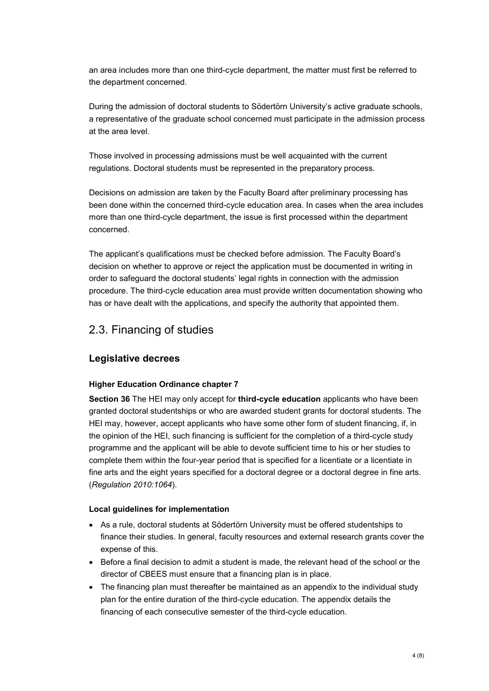an area includes more than one third-cycle department, the matter must first be referred to the department concerned.

During the admission of doctoral students to Södertörn University's active graduate schools, a representative of the graduate school concerned must participate in the admission process at the area level.

Those involved in processing admissions must be well acquainted with the current regulations. Doctoral students must be represented in the preparatory process.

Decisions on admission are taken by the Faculty Board after preliminary processing has been done within the concerned third-cycle education area. In cases when the area includes more than one third-cycle department, the issue is first processed within the department concerned.

The applicant's qualifications must be checked before admission. The Faculty Board's decision on whether to approve or reject the application must be documented in writing in order to safeguard the doctoral students' legal rights in connection with the admission procedure. The third-cycle education area must provide written documentation showing who has or have dealt with the applications, and specify the authority that appointed them.

# 2.3. Financing of studies

#### **Legislative decrees**

#### **Higher Education Ordinance chapter 7**

**Section 36** The HEI may only accept for **third-cycle education** applicants who have been granted doctoral studentships or who are awarded student grants for doctoral students. The HEI may, however, accept applicants who have some other form of student financing, if, in the opinion of the HEI, such financing is sufficient for the completion of a third-cycle study programme and the applicant will be able to devote sufficient time to his or her studies to complete them within the four-year period that is specified for a licentiate or a licentiate in fine arts and the eight years specified for a doctoral degree or a doctoral degree in fine arts. (*Regulation 2010:1064*).

#### **Local guidelines for implementation**

- As a rule, doctoral students at Södertörn University must be offered studentships to finance their studies. In general, faculty resources and external research grants cover the expense of this.
- Before a final decision to admit a student is made, the relevant head of the school or the director of CBEES must ensure that a financing plan is in place.
- The financing plan must thereafter be maintained as an appendix to the individual study plan for the entire duration of the third-cycle education. The appendix details the financing of each consecutive semester of the third-cycle education.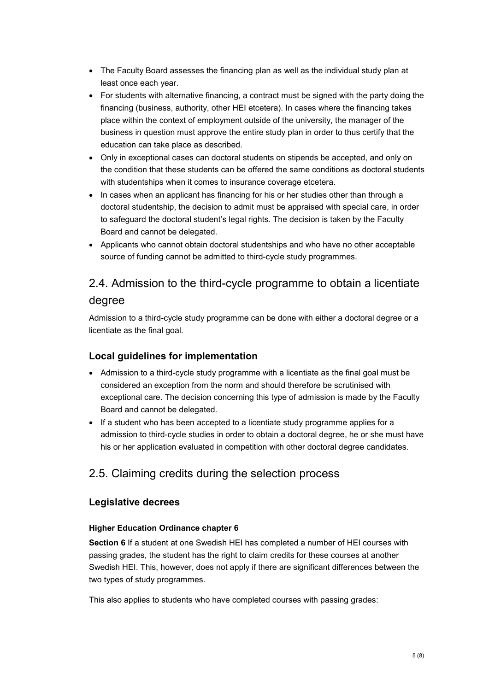- The Faculty Board assesses the financing plan as well as the individual study plan at least once each year.
- For students with alternative financing, a contract must be signed with the party doing the financing (business, authority, other HEI etcetera). In cases where the financing takes place within the context of employment outside of the university, the manager of the business in question must approve the entire study plan in order to thus certify that the education can take place as described.
- Only in exceptional cases can doctoral students on stipends be accepted, and only on the condition that these students can be offered the same conditions as doctoral students with studentships when it comes to insurance coverage etcetera.
- In cases when an applicant has financing for his or her studies other than through a doctoral studentship, the decision to admit must be appraised with special care, in order to safeguard the doctoral student's legal rights. The decision is taken by the Faculty Board and cannot be delegated.
- Applicants who cannot obtain doctoral studentships and who have no other acceptable source of funding cannot be admitted to third-cycle study programmes.

# 2.4. Admission to the third-cycle programme to obtain a licentiate degree

Admission to a third-cycle study programme can be done with either a doctoral degree or a licentiate as the final goal.

## **Local guidelines for implementation**

- Admission to a third-cycle study programme with a licentiate as the final goal must be considered an exception from the norm and should therefore be scrutinised with exceptional care. The decision concerning this type of admission is made by the Faculty Board and cannot be delegated.
- If a student who has been accepted to a licentiate study programme applies for a admission to third-cycle studies in order to obtain a doctoral degree, he or she must have his or her application evaluated in competition with other doctoral degree candidates.

# 2.5. Claiming credits during the selection process

## **Legislative decrees**

#### **Higher Education Ordinance chapter 6**

**Section 6** If a student at one Swedish HEI has completed a number of HEI courses with passing grades, the student has the right to claim credits for these courses at another Swedish HEI. This, however, does not apply if there are significant differences between the two types of study programmes.

This also applies to students who have completed courses with passing grades: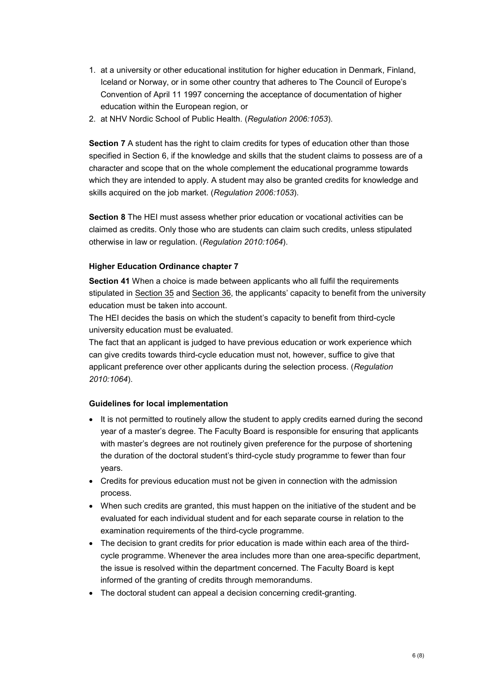- 1. at a university or other educational institution for higher education in Denmark, Finland, Iceland or Norway, or in some other country that adheres to The Council of Europe's Convention of April 11 1997 concerning the acceptance of documentation of higher education within the European region, or
- 2. at NHV Nordic School of Public Health. (*Regulation 2006:1053*).

**Section 7** A student has the right to claim credits for types of education other than those specified in Section 6, if the knowledge and skills that the student claims to possess are of a character and scope that on the whole complement the educational programme towards which they are intended to apply. A student may also be granted credits for knowledge and skills acquired on the job market. (*Regulation 2006:1053*).

**Section 8** The HEI must assess whether prior education or vocational activities can be claimed as credits. Only those who are students can claim such credits, unless stipulated otherwise in law or regulation. (*Regulation 2010:1064*).

#### **Higher Education Ordinance chapter 7**

**Section 41** When a choice is made between applicants who all fulfil the requirements stipulated in Section 35 and Section 36, the applicants' capacity to benefit from the university education must be taken into account.

The HEI decides the basis on which the student's capacity to benefit from third-cycle university education must be evaluated.

The fact that an applicant is judged to have previous education or work experience which can give credits towards third-cycle education must not, however, suffice to give that applicant preference over other applicants during the selection process. (*Regulation 2010:1064*).

#### **Guidelines for local implementation**

- It is not permitted to routinely allow the student to apply credits earned during the second year of a master's degree. The Faculty Board is responsible for ensuring that applicants with master's degrees are not routinely given preference for the purpose of shortening the duration of the doctoral student's third-cycle study programme to fewer than four years.
- Credits for previous education must not be given in connection with the admission process.
- When such credits are granted, this must happen on the initiative of the student and be evaluated for each individual student and for each separate course in relation to the examination requirements of the third-cycle programme.
- The decision to grant credits for prior education is made within each area of the thirdcycle programme. Whenever the area includes more than one area-specific department, the issue is resolved within the department concerned. The Faculty Board is kept informed of the granting of credits through memorandums.
- The doctoral student can appeal a decision concerning credit-granting.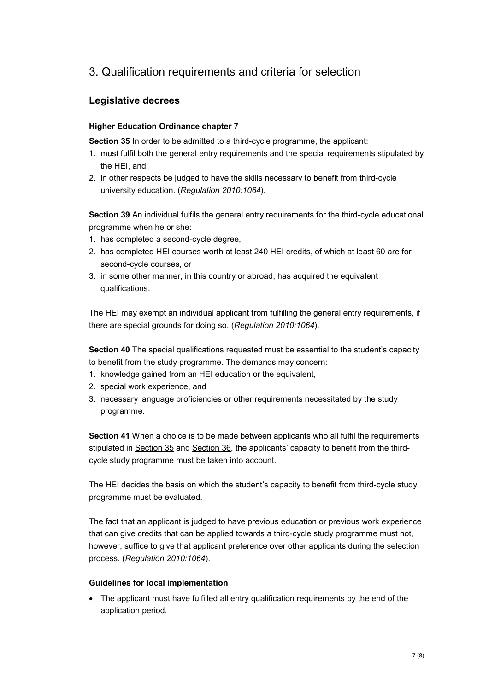# 3. Qualification requirements and criteria for selection

# **Legislative decrees**

#### **Higher Education Ordinance chapter 7**

**Section 35** In order to be admitted to a third-cycle programme, the applicant:

- 1. must fulfil both the general entry requirements and the special requirements stipulated by the HEI, and
- 2. in other respects be judged to have the skills necessary to benefit from third-cycle university education. (*Regulation 2010:1064*).

**Section 39** An individual fulfils the general entry requirements for the third-cycle educational programme when he or she:

- 1. has completed a second-cycle degree,
- 2. has completed HEI courses worth at least 240 HEI credits, of which at least 60 are for second-cycle courses, or
- 3. in some other manner, in this country or abroad, has acquired the equivalent qualifications.

The HEI may exempt an individual applicant from fulfilling the general entry requirements, if there are special grounds for doing so. (*Regulation 2010:1064*).

**Section 40** The special qualifications requested must be essential to the student's capacity to benefit from the study programme. The demands may concern:

- 1. knowledge gained from an HEI education or the equivalent,
- 2. special work experience, and
- 3. necessary language proficiencies or other requirements necessitated by the study programme.

**Section 41** When a choice is to be made between applicants who all fulfil the requirements stipulated in Section 35 and Section 36, the applicants' capacity to benefit from the thirdcycle study programme must be taken into account.

The HEI decides the basis on which the student's capacity to benefit from third-cycle study programme must be evaluated.

The fact that an applicant is judged to have previous education or previous work experience that can give credits that can be applied towards a third-cycle study programme must not, however, suffice to give that applicant preference over other applicants during the selection process. (*Regulation 2010:1064*).

#### **Guidelines for local implementation**

• The applicant must have fulfilled all entry qualification requirements by the end of the application period.